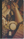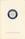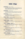

,

• • •

• ,

•

, •

• •

•

• I

! , ,

### Chardonnay, Beaulieu Vineyards

An excellent introduction to Chardonnay. Fresh and delicious fruity flavors of apple and peach combine with light oak flavors while providing a round smooth finish. \$21. Glass, \$5.00.

#### Chardonnay, Lindemans Bin 65

A powerful wine from Australia. Packed with oak and buttery flavors which complement its crispy fruit taste. \$20. Glass, \$5.00.

#### Chardonnay, Les Charmes

A well balanced wine from France that is full bodied, with rich Chardonnay fruit. \$22. Glass, \$5.25.

### Chenin Blanc, Château Ste. Michelle

Bold fruity aromas and honey-like flavors combined with a medium dry finish. \$15. Glass, \$4.00.

### Pouilly Fuisée, Clos Reissier

Fresh clean and crisp with hints of melon, citrus, and spice. \$28. Glass. \$6.25.

# "1725" Bordeaux, Blanc, B&G

A dry medium bodied French white loaded with citrus, melon and pineapple flavors. \$20. Glass. \$4.75.

### *Orvieto.* Anlinori

A refreshing medium bodied Italian everyday wine which is clean and crisp. \$21. Glass \$5.00.

# Gavi Principessa, Villa Banti

A fresh, crisp wine with light citrus and fruit flavors. All tightly wrapped to provide plenty of balance. \$23. Glass, \$5.25.

# White Zinfandel, Gallo

A simple, well balanced wine with a soft fruity flavor and a generous bouquet. \$15. Glass, \$4 .00.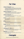

## Cabernet Sauvignon, Benziger

Winemaker Mike 8enziger. of Glen Ellen, has turned his attention to producing an estate wine that competes with the majors. Intense berry-like flavors are balanced by a rich full body to produce a silky smooth cabernet. \$26. Glass, \$5.75.

# Cabernet Sauvignon, Beaulieu Vineyards

A Cabernet loaded with berry and fruit aromas. It is medium bodied with oakey flavors blending well with fruit. \$21. Glass, \$5.00.

# Cabernet Sauvignon, Sterling

A robust California wine with an intense berry aroma, full bodied and richly flavored. \$26. Glass, \$5.75.

## *Mer/ot.* Clos du Bois

 $\ddot{\phantom{a}}$ 

• • ,

•  $\ddot{\phantom{a}}$ 

•  $\frac{1}{2}$  $\sum_{i=1}^{n}$ 

•  $\sum_{i=1}^{n}$ 

,

•

I

!

 $\mathbf{I}$ 

 $\mathbb{I}$ 

 $\ddot{\phantom{a}}$ 

Very soft and smooth with lively black cherry and vanilla flavors. \$26. Glass, \$5.75

#### *Shiraz*, Brown Brothers

A tasty wine from Australia that is moderately rich with plenty of fruit and spice which develop through the finish. \$20. Glass, \$4.75.

# *Chianti*, Borghi D'Elsa

A Tuscan wine well known for its quality and value. It possesses a smooth blend of herbs with hints of strawberry flavors. \$15. Glass, \$4,00,

# Châteauneuf du Pape, B&G

A rich and ripe wine with a variety of berries and aromas which hold their flavor through the finish. \$24. Glass, \$5.75.

## Beaujolais, Château de la Chaize

A lovely everyday French wine with medium body and a fresh fruity taste. \$22. Glass, \$5.25,

,



Please ask your server for our supplementary wine list.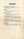**Al'petiZll'B** 

# Grilled Vegetable Antipasto

Seasonal fresh grilled vegetables brushed with virgin olive oil, garlic, and herbs. \$4.75.

#### Calamari

*r* 

Served Sicilian style. Batter dipped and sautéed with lemon, olive oil and spicy cherry peppers. \$4.25.

## Shrimp Cocktail

Jumbo shrimp marinated in fresh lime juice and tequila. Served with classic cocktail sauce. \$6.50.

# Asian Potstickers

Wontons stuffed with Chinese cabbage, roasted duck, fresh ginger, and oriental spices. Served with duck sauce and hot oriental mustard. \$4.50.

### California Salmon Wraps

A combination of smoked salmon, avocado, rice and red pepper wrapped in Japanese nori. Served with fresh pickled ginger and wasabe. \$5.SO.

## Bruschetta

Marinated fresh tomatoes, garlic, and seasonings served on crusty Italian bread with mozzarella cheese lopping. \$3.75.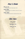Soup & Salads

*Soup du Jour* 

Please ask your server for today's special. \$2.25.

House Salad

**Fresh garden greens and vegetables. Served with a choice of dressings.** \$2.95.

Caesar Salad

•

**Fresh Romaine lettuce tossed in a** light **Caesar dressing. \$3.95 .** 



Garlic Bread **\$2.50** 

*Vegetable du Jour*  \$2.50

*Potato du Jour*  \$2 .50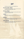

,

, ,  $\frac{1}{\lambda}$ ,

,

•

•

 $\frac{1}{2}$ 

•

,

,

 $\mathbf{I}$ 

All entrées are served with bread and vegetable du jour.

# New York Strip Steak

An oversized 18oz. certified Angus, center cut sirloin strip steak. Served with grilled poblano peppers. \$13.75.

# $R$ ib Eye Steak

A 24oz. certified Angus, boneless rib eye steak, garlic seasoned and grilled to temperature. \$12.50.

## Lobster

*r* 

21b, whole Maine lobster served with fresh lemon and drawn butter. \$13.75.

# Scallops

Giant sea scallops brushed with olive oil and fresh herbs. Served atop grilled tomatoes with pobalano peppers. \$9.95.

# *<i><u>Grilled Shrimp</u>*

Southwestern spice-rubbed, grilled "shell on" shrimp served over rice with a black bean-jalapeño salsa. \$10.95.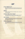*qrill* 

## Mixed Seafood Grill

Jumbo "shell on" shrimp, giant sea scallops, grilled crab cutlet, and lobster tail. Served with fresh lemon and remoulade sauce. \$13.50.

### $S$ *almon*

• • •

•

•

•

• • •

• •

•

•

,

 $\mu$ 

• •

• • •

•

•

• •

,

•

A lightly seasoned grilled filet of Norwegian salmon, served with fresh lemon. \$9.50.

# Oriental Style Duck Breast

A boneless breast hand-rubbed with fresh ginger and Oriental spices. Sliced thin and served with chilled Thai noodles. \$9.75.

## Euro Chicken

Medallions of chicken sautéed with butter and fresh herbs, topped with prosciutto, mozzarella, and a light marinara. Served around a nest of angel hair pasta. \$8.50.

# Chicken Scarpinato

Herb crusted breasts of chicken, pan seared and grilled. Served with a light Dijon consommé sauce and topped with crispy leeks. \$7.95.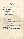Pastas

All of our pasta is imported direct from Italy and is made from 100% all natural Durum Semolina wheat. Pasta comes in various shapes and sizes. We have carefully selected each type of pasta in order to enhance the ingredients of every dish. Served with assorted bread.

## Fettuccini Primavera

Long, flat ribbons of pasta tossed with grilled eggplant, garden vegetables, and Alfredo sauce. \$8.25.

## Linguini Diablo

Long, thin strands of pasta tossed with shrimp, scallops, and calamari in a spicy marinara sauce. \$10.50.

### Penne Piemontese

A short quill-shaped pasta with an herb infused plum tomato sauce. \$7.50.

# Fusilli alla Poverella

The "poor man's pasta". A long, twisted pasta with marinated artichoke hearts, sundried tomatoes, roasted peppers, black olives and sweet Italian sausage with white wine, fresh basil and Italian olive oil. \$8.95.

# Rotini Pollo e Primavera

A wide "corkscrew" pasta in a spicy marinara sauce, tossed with grilled eggplant, garden vegetables and chicken sautéed with fresh herbs and White Zinfandel. Topped with melted mozzarella. \$8.75.

# Angel Hair Italian

Long, narrow strands of pasta sautéed with wild mushrooms, sundried tomatoes, butter, white wine, garlic, and basil. \$8.25.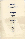

Fresh homemade desserts and pastries. Please ask your server.



Cappuccino

Espresso

Mineral Water  $$2.75$ 

Coffee/Decaf

Tea  $$1.25$ 

Iced Tea

Sodas We serve day of products. \$1.50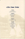After Dinner Drinks

Ports

Penfolds Club Port Cockburn's Fine Tawny Port

# Cognacs

Remy Martin V.S.O.P. Courvoisier V.S. Martell V.S. Hennessey

Grappa

Various selections available.



**Grand Marnier** Crème de Grand Marnier Bailey's Amaretto di Saronno Sambuca Romana Drambuie **Tia Maria**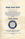Sunday Brunch Buffet

,

I I

 $\left( \frac{1}{2} \right)$  $\sqrt{ }$ 

I

I

Every Sunday 10:30am - 2:30pm

An extensive buffet including fresh carvings, bagels, smoked Nova Scotia salmon, cream cheese, whitefish, omelettes made to order, waffle station, potatoes, seasonal vegetables, broccoli, baby back ribs, Seafood Newburg. lemon chicken, Oriental stir fry, breakfast pastries. ice cream sundae bar, coffee, tea, milk, juice, and more.





Newport Bar & Grill is available to you for private parties including weddings, Bar Mitzvahs, anniversaries, holiday parties and corporate functions.

For more information please contact our sales consultant. 215-546-8800